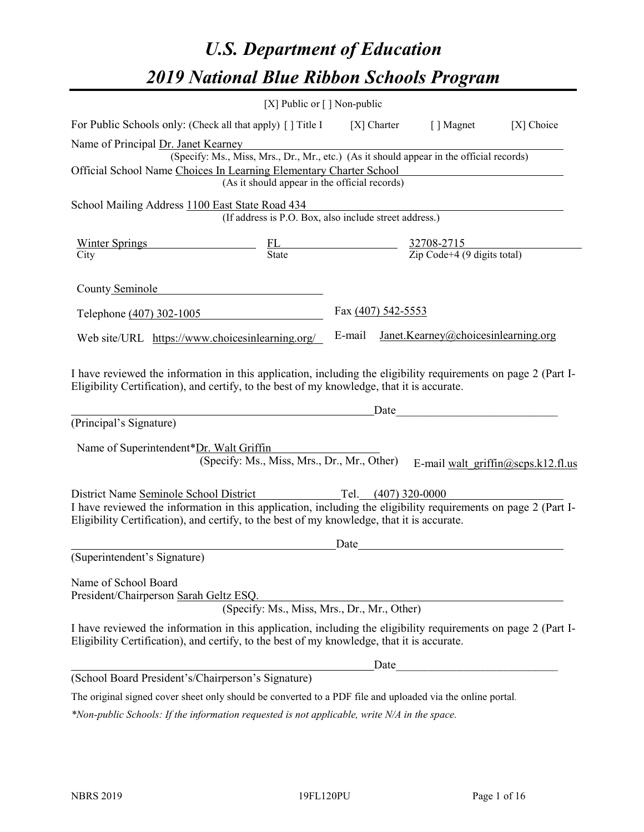# *U.S. Department of Education 2019 National Blue Ribbon Schools Program*

|                                                                                                                                                                                                              | [X] Public or $\lceil$ ] Non-public                                                      |                     |               |                                                                     |                                    |
|--------------------------------------------------------------------------------------------------------------------------------------------------------------------------------------------------------------|------------------------------------------------------------------------------------------|---------------------|---------------|---------------------------------------------------------------------|------------------------------------|
| For Public Schools only: (Check all that apply) [ ] Title I                                                                                                                                                  |                                                                                          |                     | $[X]$ Charter | [ ] Magnet                                                          | [X] Choice                         |
| Name of Principal Dr. Janet Kearney                                                                                                                                                                          |                                                                                          |                     |               |                                                                     |                                    |
|                                                                                                                                                                                                              | (Specify: Ms., Miss, Mrs., Dr., Mr., etc.) (As it should appear in the official records) |                     |               |                                                                     |                                    |
| Official School Name Choices In Learning Elementary Charter School                                                                                                                                           |                                                                                          |                     |               |                                                                     |                                    |
|                                                                                                                                                                                                              | (As it should appear in the official records)                                            |                     |               |                                                                     |                                    |
| School Mailing Address 1100 East State Road 434                                                                                                                                                              |                                                                                          |                     |               |                                                                     |                                    |
|                                                                                                                                                                                                              | (If address is P.O. Box, also include street address.)                                   |                     |               |                                                                     |                                    |
| Winter Springs                                                                                                                                                                                               |                                                                                          |                     |               |                                                                     |                                    |
| City                                                                                                                                                                                                         |                                                                                          |                     |               | $\frac{FL}{State}$ $\frac{32708-2715}{Zip Code+4 (9 digits total)}$ |                                    |
| County Seminole                                                                                                                                                                                              |                                                                                          |                     |               |                                                                     |                                    |
|                                                                                                                                                                                                              |                                                                                          | Fax (407) 542-5553  |               |                                                                     |                                    |
| Telephone (407) 302-1005                                                                                                                                                                                     |                                                                                          |                     |               |                                                                     |                                    |
| Web site/URL https://www.choicesinlearning.org/                                                                                                                                                              |                                                                                          | E-mail              |               | Janet.Kearney@choicesinlearning.org                                 |                                    |
| (Principal's Signature)<br>Name of Superintendent*Dr. Walt Griffin                                                                                                                                           | (Specify: Ms., Miss, Mrs., Dr., Mr., Other)                                              |                     | Date          |                                                                     | E-mail walt griffin@scps.k12.fl.us |
| District Name Seminole School District                                                                                                                                                                       |                                                                                          | Tel. (407) 320-0000 |               |                                                                     |                                    |
| I have reviewed the information in this application, including the eligibility requirements on page 2 (Part I-<br>Eligibility Certification), and certify, to the best of my knowledge, that it is accurate. |                                                                                          |                     |               |                                                                     |                                    |
|                                                                                                                                                                                                              |                                                                                          | Date                |               |                                                                     |                                    |
| (Superintendent's Signature)                                                                                                                                                                                 |                                                                                          |                     |               |                                                                     |                                    |
| Name of School Board<br>President/Chairperson Sarah Geltz ESQ.                                                                                                                                               | (Specify: Ms., Miss, Mrs., Dr., Mr., Other)                                              |                     |               |                                                                     |                                    |
| I have reviewed the information in this application, including the eligibility requirements on page 2 (Part I-<br>Eligibility Certification), and certify, to the best of my knowledge, that it is accurate. |                                                                                          |                     |               |                                                                     |                                    |
|                                                                                                                                                                                                              |                                                                                          |                     |               | Date                                                                |                                    |
| (School Board President's/Chairperson's Signature)                                                                                                                                                           |                                                                                          |                     |               |                                                                     |                                    |
| The original signed cover sheet only should be converted to a PDF file and uploaded via the online portal.                                                                                                   |                                                                                          |                     |               |                                                                     |                                    |

*\*Non-public Schools: If the information requested is not applicable, write N/A in the space.*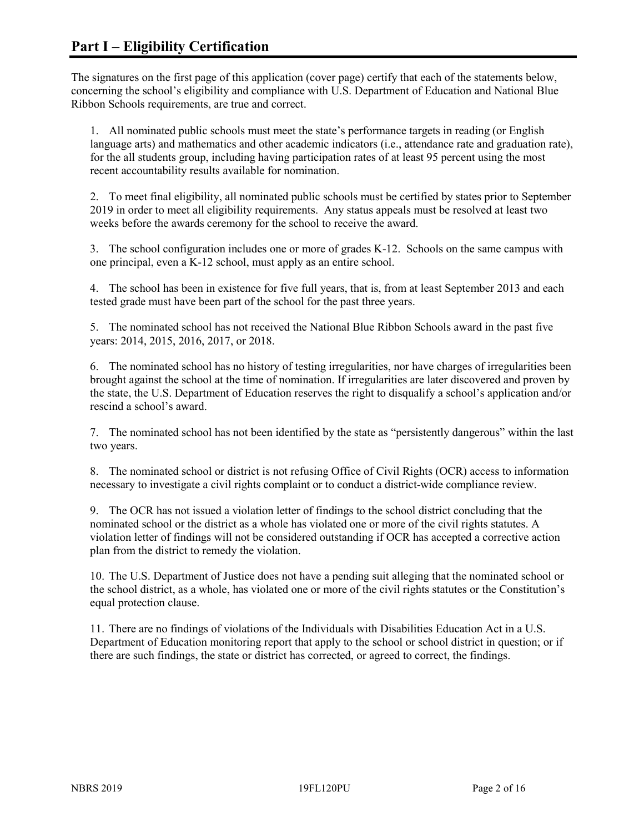The signatures on the first page of this application (cover page) certify that each of the statements below, concerning the school's eligibility and compliance with U.S. Department of Education and National Blue Ribbon Schools requirements, are true and correct.

1. All nominated public schools must meet the state's performance targets in reading (or English language arts) and mathematics and other academic indicators (i.e., attendance rate and graduation rate), for the all students group, including having participation rates of at least 95 percent using the most recent accountability results available for nomination.

2. To meet final eligibility, all nominated public schools must be certified by states prior to September 2019 in order to meet all eligibility requirements. Any status appeals must be resolved at least two weeks before the awards ceremony for the school to receive the award.

3. The school configuration includes one or more of grades K-12. Schools on the same campus with one principal, even a K-12 school, must apply as an entire school.

4. The school has been in existence for five full years, that is, from at least September 2013 and each tested grade must have been part of the school for the past three years.

5. The nominated school has not received the National Blue Ribbon Schools award in the past five years: 2014, 2015, 2016, 2017, or 2018.

6. The nominated school has no history of testing irregularities, nor have charges of irregularities been brought against the school at the time of nomination. If irregularities are later discovered and proven by the state, the U.S. Department of Education reserves the right to disqualify a school's application and/or rescind a school's award.

7. The nominated school has not been identified by the state as "persistently dangerous" within the last two years.

8. The nominated school or district is not refusing Office of Civil Rights (OCR) access to information necessary to investigate a civil rights complaint or to conduct a district-wide compliance review.

9. The OCR has not issued a violation letter of findings to the school district concluding that the nominated school or the district as a whole has violated one or more of the civil rights statutes. A violation letter of findings will not be considered outstanding if OCR has accepted a corrective action plan from the district to remedy the violation.

10. The U.S. Department of Justice does not have a pending suit alleging that the nominated school or the school district, as a whole, has violated one or more of the civil rights statutes or the Constitution's equal protection clause.

11. There are no findings of violations of the Individuals with Disabilities Education Act in a U.S. Department of Education monitoring report that apply to the school or school district in question; or if there are such findings, the state or district has corrected, or agreed to correct, the findings.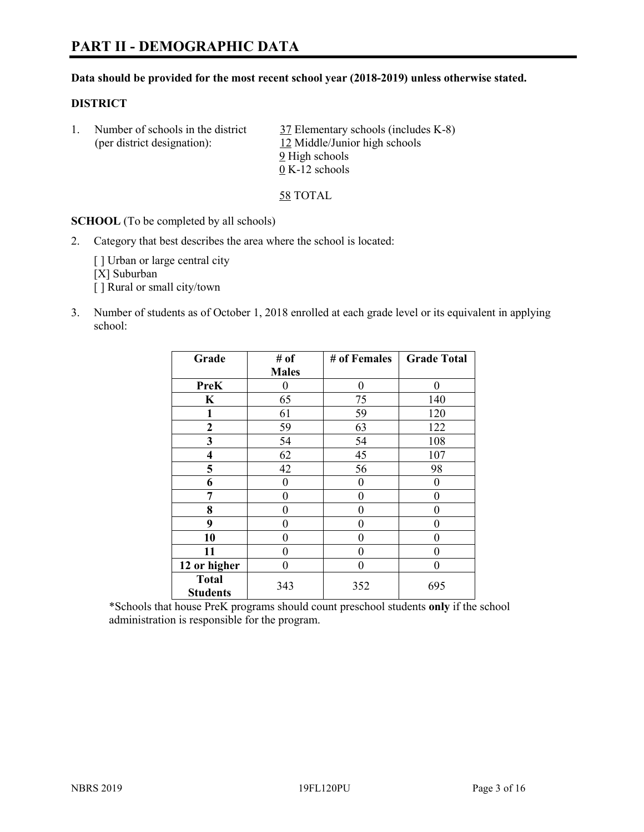# **PART II - DEMOGRAPHIC DATA**

#### **Data should be provided for the most recent school year (2018-2019) unless otherwise stated.**

#### **DISTRICT**

1. Number of schools in the district  $\frac{37}{2}$  Elementary schools (includes K-8) (per district designation): 12 Middle/Junior high schools 9 High schools 0 K-12 schools

58 TOTAL

**SCHOOL** (To be completed by all schools)

2. Category that best describes the area where the school is located:

[ ] Urban or large central city [X] Suburban [] Rural or small city/town

3. Number of students as of October 1, 2018 enrolled at each grade level or its equivalent in applying school:

| Grade                   | # of         | # of Females | <b>Grade Total</b> |
|-------------------------|--------------|--------------|--------------------|
|                         | <b>Males</b> |              |                    |
| <b>PreK</b>             | 0            | $\theta$     | 0                  |
| $\mathbf K$             | 65           | 75           | 140                |
| 1                       | 61           | 59           | 120                |
| 2                       | 59           | 63           | 122                |
| 3                       | 54           | 54           | 108                |
| $\overline{\mathbf{4}}$ | 62           | 45           | 107                |
| 5                       | 42           | 56           | 98                 |
| 6                       | 0            | $\theta$     | 0                  |
| 7                       | 0            | $\theta$     | 0                  |
| 8                       | 0            | $\theta$     | 0                  |
| 9                       | 0            | $\theta$     | 0                  |
| 10                      | 0            | 0            | 0                  |
| 11                      | $\theta$     | 0            | 0                  |
| 12 or higher            | 0            | 0            | 0                  |
| <b>Total</b>            | 343          | 352          | 695                |
| <b>Students</b>         |              |              |                    |

\*Schools that house PreK programs should count preschool students **only** if the school administration is responsible for the program.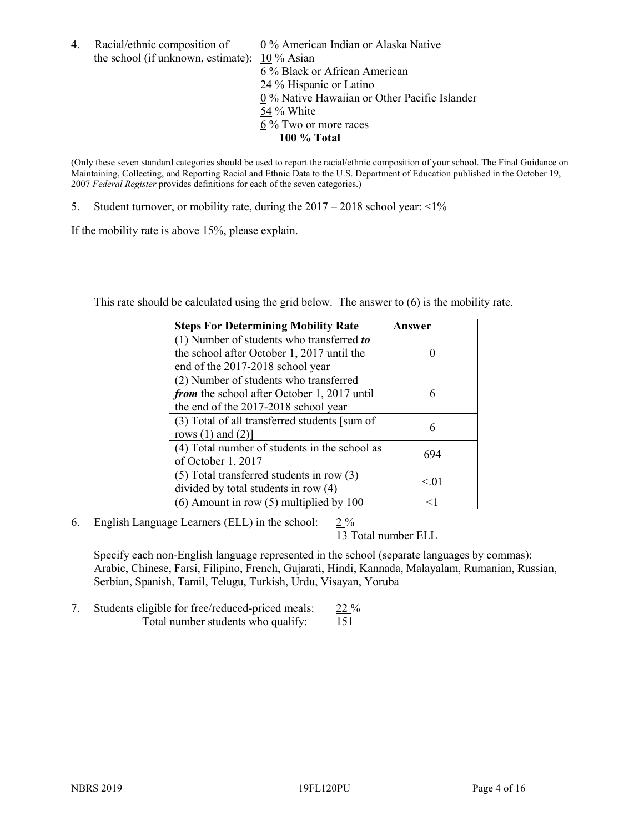4. Racial/ethnic composition of  $0\%$  American Indian or Alaska Native the school (if unknown, estimate): 10 % Asian 6 % Black or African American 24 % Hispanic or Latino 0 % Native Hawaiian or Other Pacific Islander 54 % White 6 % Two or more races **100 % Total**

(Only these seven standard categories should be used to report the racial/ethnic composition of your school. The Final Guidance on Maintaining, Collecting, and Reporting Racial and Ethnic Data to the U.S. Department of Education published in the October 19, 2007 *Federal Register* provides definitions for each of the seven categories.)

5. Student turnover, or mobility rate, during the  $2017 - 2018$  school year:  $\leq 1\%$ 

If the mobility rate is above 15%, please explain.

This rate should be calculated using the grid below. The answer to (6) is the mobility rate.

| <b>Steps For Determining Mobility Rate</b>    | Answer |
|-----------------------------------------------|--------|
| $(1)$ Number of students who transferred to   |        |
| the school after October 1, 2017 until the    |        |
| end of the 2017-2018 school year              |        |
| (2) Number of students who transferred        |        |
| from the school after October 1, 2017 until   | 6      |
| the end of the 2017-2018 school year          |        |
| (3) Total of all transferred students [sum of |        |
| rows $(1)$ and $(2)$ ]                        | 6      |
| (4) Total number of students in the school as | 694    |
| of October 1, 2017                            |        |
| $(5)$ Total transferred students in row $(3)$ |        |
| divided by total students in row (4)          | < 01   |
| $(6)$ Amount in row $(5)$ multiplied by 100   | <1     |

6. English Language Learners (ELL) in the school:  $2\%$ 

13 Total number ELL

Specify each non-English language represented in the school (separate languages by commas): Arabic, Chinese, Farsi, Filipino, French, Gujarati, Hindi, Kannada, Malayalam, Rumanian, Russian, Serbian, Spanish, Tamil, Telugu, Turkish, Urdu, Visayan, Yoruba

7. Students eligible for free/reduced-priced meals: 22 % Total number students who qualify: 151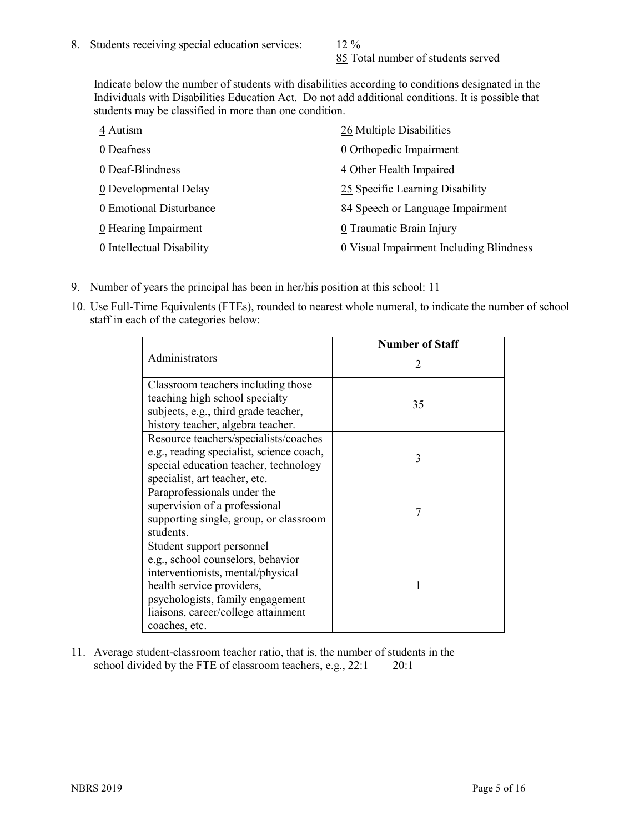85 Total number of students served

Indicate below the number of students with disabilities according to conditions designated in the Individuals with Disabilities Education Act. Do not add additional conditions. It is possible that students may be classified in more than one condition.

| 4 Autism                  | 26 Multiple Disabilities                |
|---------------------------|-----------------------------------------|
| 0 Deafness                | 0 Orthopedic Impairment                 |
| 0 Deaf-Blindness          | 4 Other Health Impaired                 |
| 0 Developmental Delay     | 25 Specific Learning Disability         |
| 0 Emotional Disturbance   | 84 Speech or Language Impairment        |
| 0 Hearing Impairment      | 0 Traumatic Brain Injury                |
| 0 Intellectual Disability | 0 Visual Impairment Including Blindness |

- 9. Number of years the principal has been in her/his position at this school:  $11$
- 10. Use Full-Time Equivalents (FTEs), rounded to nearest whole numeral, to indicate the number of school staff in each of the categories below:

|                                                                                                                                                                                                                              | <b>Number of Staff</b>      |
|------------------------------------------------------------------------------------------------------------------------------------------------------------------------------------------------------------------------------|-----------------------------|
| Administrators                                                                                                                                                                                                               | $\mathcal{D}_{\mathcal{A}}$ |
| Classroom teachers including those<br>teaching high school specialty<br>subjects, e.g., third grade teacher,<br>history teacher, algebra teacher.                                                                            | 35                          |
| Resource teachers/specialists/coaches<br>e.g., reading specialist, science coach,<br>special education teacher, technology<br>specialist, art teacher, etc.                                                                  | 3                           |
| Paraprofessionals under the<br>supervision of a professional<br>supporting single, group, or classroom<br>students.                                                                                                          | 7                           |
| Student support personnel<br>e.g., school counselors, behavior<br>interventionists, mental/physical<br>health service providers,<br>psychologists, family engagement<br>liaisons, career/college attainment<br>coaches, etc. |                             |

11. Average student-classroom teacher ratio, that is, the number of students in the school divided by the FTE of classroom teachers, e.g., 22:1 20:1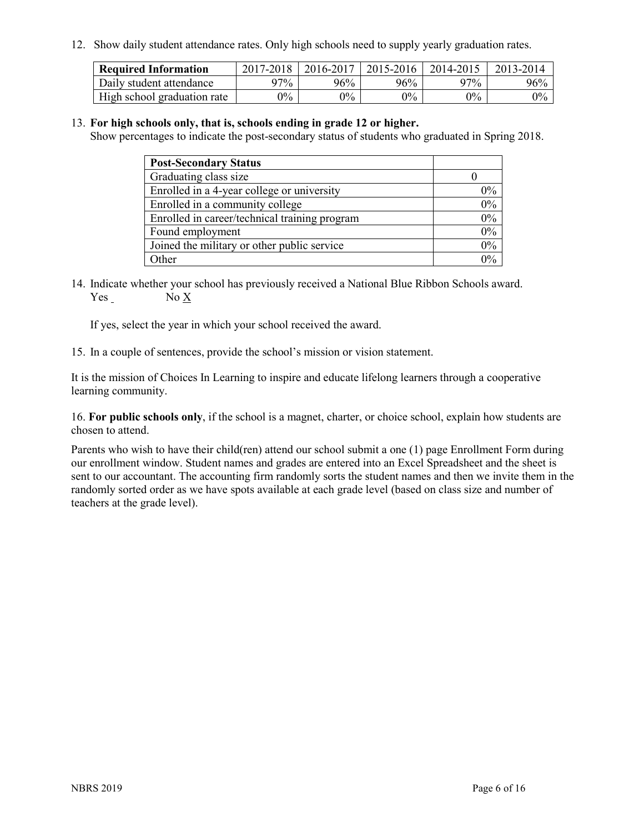12. Show daily student attendance rates. Only high schools need to supply yearly graduation rates.

| <b>Required Information</b> | 2017-2018 | 2016-2017 | 2015-2016 | 2014-2015 | 2013-2014 |
|-----------------------------|-----------|-----------|-----------|-----------|-----------|
| Daily student attendance    | $27\%$    | 96%       | 96%       | $27\%$    | 96%       |
| High school graduation rate | $0\%$     | $0\%$     | $0\%$     | $9\%$     | $0\%$     |

#### 13. **For high schools only, that is, schools ending in grade 12 or higher.**

Show percentages to indicate the post-secondary status of students who graduated in Spring 2018.

| <b>Post-Secondary Status</b>                  |       |
|-----------------------------------------------|-------|
| Graduating class size                         |       |
| Enrolled in a 4-year college or university    | $0\%$ |
| Enrolled in a community college               | 0%    |
| Enrolled in career/technical training program | 0%    |
| Found employment                              | 0%    |
| Joined the military or other public service   | 0%    |
| Other                                         | $0\%$ |

14. Indicate whether your school has previously received a National Blue Ribbon Schools award. Yes No X

If yes, select the year in which your school received the award.

15. In a couple of sentences, provide the school's mission or vision statement.

It is the mission of Choices In Learning to inspire and educate lifelong learners through a cooperative learning community.

16. **For public schools only**, if the school is a magnet, charter, or choice school, explain how students are chosen to attend.

Parents who wish to have their child(ren) attend our school submit a one (1) page Enrollment Form during our enrollment window. Student names and grades are entered into an Excel Spreadsheet and the sheet is sent to our accountant. The accounting firm randomly sorts the student names and then we invite them in the randomly sorted order as we have spots available at each grade level (based on class size and number of teachers at the grade level).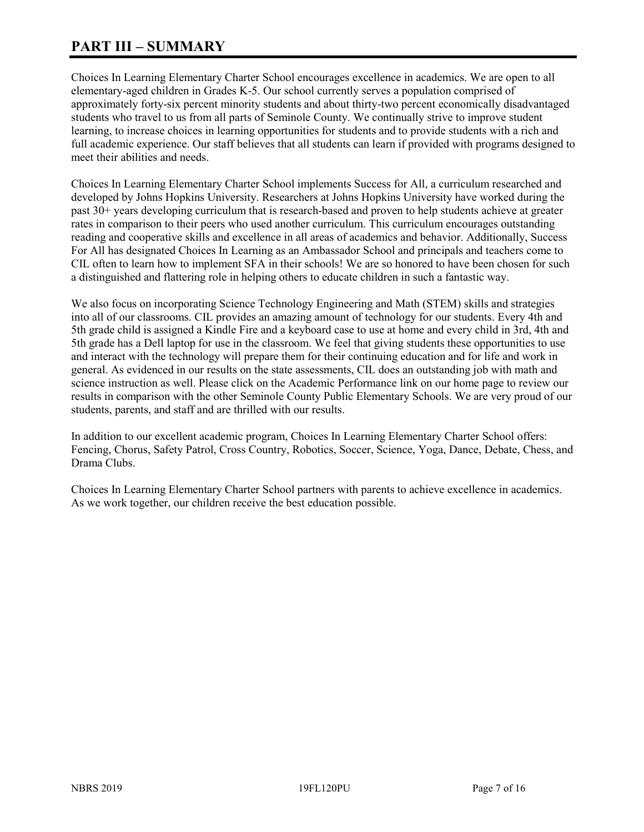# **PART III – SUMMARY**

Choices In Learning Elementary Charter School encourages excellence in academics. We are open to all elementary-aged children in Grades K-5. Our school currently serves a population comprised of approximately forty-six percent minority students and about thirty-two percent economically disadvantaged students who travel to us from all parts of Seminole County. We continually strive to improve student learning, to increase choices in learning opportunities for students and to provide students with a rich and full academic experience. Our staff believes that all students can learn if provided with programs designed to meet their abilities and needs.

Choices In Learning Elementary Charter School implements Success for All, a curriculum researched and developed by Johns Hopkins University. Researchers at Johns Hopkins University have worked during the past 30+ years developing curriculum that is research-based and proven to help students achieve at greater rates in comparison to their peers who used another curriculum. This curriculum encourages outstanding reading and cooperative skills and excellence in all areas of academics and behavior. Additionally, Success For All has designated Choices In Learning as an Ambassador School and principals and teachers come to CIL often to learn how to implement SFA in their schools! We are so honored to have been chosen for such a distinguished and flattering role in helping others to educate children in such a fantastic way.

We also focus on incorporating Science Technology Engineering and Math (STEM) skills and strategies into all of our classrooms. CIL provides an amazing amount of technology for our students. Every 4th and 5th grade child is assigned a Kindle Fire and a keyboard case to use at home and every child in 3rd, 4th and 5th grade has a Dell laptop for use in the classroom. We feel that giving students these opportunities to use and interact with the technology will prepare them for their continuing education and for life and work in general. As evidenced in our results on the state assessments, CIL does an outstanding job with math and science instruction as well. Please click on the Academic Performance link on our home page to review our results in comparison with the other Seminole County Public Elementary Schools. We are very proud of our students, parents, and staff and are thrilled with our results.

In addition to our excellent academic program, Choices In Learning Elementary Charter School offers: Fencing, Chorus, Safety Patrol, Cross Country, Robotics, Soccer, Science, Yoga, Dance, Debate, Chess, and Drama Clubs.

Choices In Learning Elementary Charter School partners with parents to achieve excellence in academics. As we work together, our children receive the best education possible.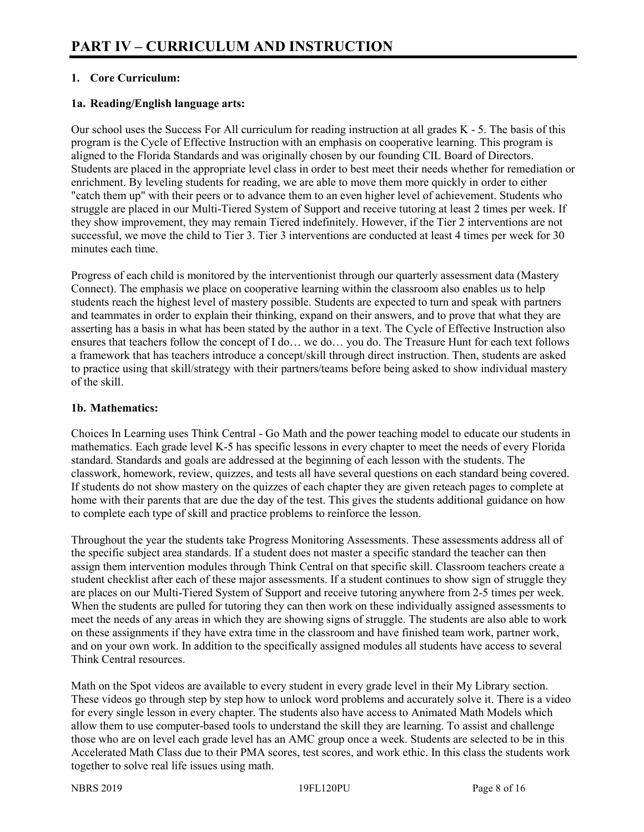# **1. Core Curriculum:**

# **1a. Reading/English language arts:**

Our school uses the Success For All curriculum for reading instruction at all grades K - 5. The basis of this program is the Cycle of Effective Instruction with an emphasis on cooperative learning. This program is aligned to the Florida Standards and was originally chosen by our founding CIL Board of Directors. Students are placed in the appropriate level class in order to best meet their needs whether for remediation or enrichment. By leveling students for reading, we are able to move them more quickly in order to either "catch them up" with their peers or to advance them to an even higher level of achievement. Students who struggle are placed in our Multi-Tiered System of Support and receive tutoring at least 2 times per week. If they show improvement, they may remain Tiered indefinitely. However, if the Tier 2 interventions are not successful, we move the child to Tier 3. Tier 3 interventions are conducted at least 4 times per week for 30 minutes each time.

Progress of each child is monitored by the interventionist through our quarterly assessment data (Mastery Connect). The emphasis we place on cooperative learning within the classroom also enables us to help students reach the highest level of mastery possible. Students are expected to turn and speak with partners and teammates in order to explain their thinking, expand on their answers, and to prove that what they are asserting has a basis in what has been stated by the author in a text. The Cycle of Effective Instruction also ensures that teachers follow the concept of I do… we do… you do. The Treasure Hunt for each text follows a framework that has teachers introduce a concept/skill through direct instruction. Then, students are asked to practice using that skill/strategy with their partners/teams before being asked to show individual mastery of the skill.

## **1b. Mathematics:**

Choices In Learning uses Think Central - Go Math and the power teaching model to educate our students in mathematics. Each grade level K-5 has specific lessons in every chapter to meet the needs of every Florida standard. Standards and goals are addressed at the beginning of each lesson with the students. The classwork, homework, review, quizzes, and tests all have several questions on each standard being covered. If students do not show mastery on the quizzes of each chapter they are given reteach pages to complete at home with their parents that are due the day of the test. This gives the students additional guidance on how to complete each type of skill and practice problems to reinforce the lesson.

Throughout the year the students take Progress Monitoring Assessments. These assessments address all of the specific subject area standards. If a student does not master a specific standard the teacher can then assign them intervention modules through Think Central on that specific skill. Classroom teachers create a student checklist after each of these major assessments. If a student continues to show sign of struggle they are places on our Multi-Tiered System of Support and receive tutoring anywhere from 2-5 times per week. When the students are pulled for tutoring they can then work on these individually assigned assessments to meet the needs of any areas in which they are showing signs of struggle. The students are also able to work on these assignments if they have extra time in the classroom and have finished team work, partner work, and on your own work. In addition to the specifically assigned modules all students have access to several Think Central resources.

Math on the Spot videos are available to every student in every grade level in their My Library section. These videos go through step by step how to unlock word problems and accurately solve it. There is a video for every single lesson in every chapter. The students also have access to Animated Math Models which allow them to use computer-based tools to understand the skill they are learning. To assist and challenge those who are on level each grade level has an AMC group once a week. Students are selected to be in this Accelerated Math Class due to their PMA scores, test scores, and work ethic. In this class the students work together to solve real life issues using math.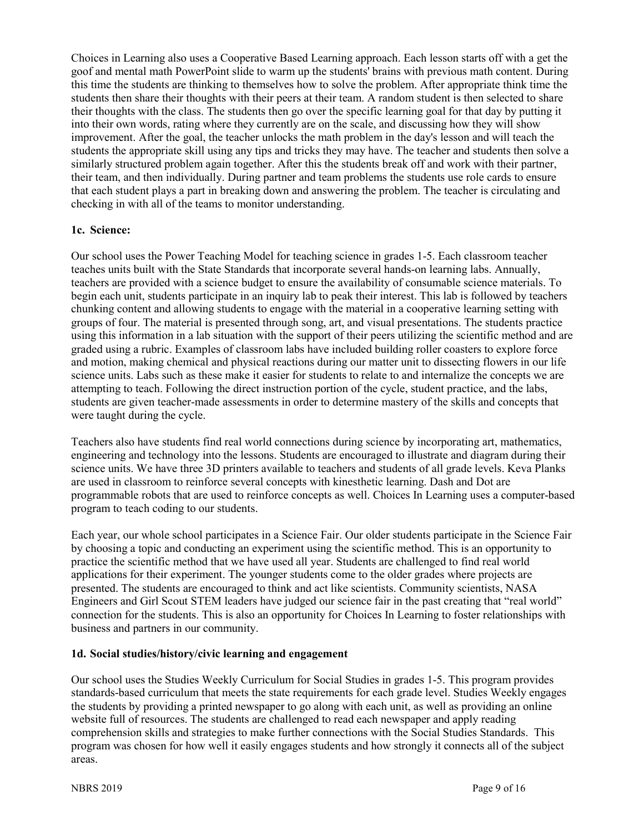Choices in Learning also uses a Cooperative Based Learning approach. Each lesson starts off with a get the goof and mental math PowerPoint slide to warm up the students' brains with previous math content. During this time the students are thinking to themselves how to solve the problem. After appropriate think time the students then share their thoughts with their peers at their team. A random student is then selected to share their thoughts with the class. The students then go over the specific learning goal for that day by putting it into their own words, rating where they currently are on the scale, and discussing how they will show improvement. After the goal, the teacher unlocks the math problem in the day's lesson and will teach the students the appropriate skill using any tips and tricks they may have. The teacher and students then solve a similarly structured problem again together. After this the students break off and work with their partner, their team, and then individually. During partner and team problems the students use role cards to ensure that each student plays a part in breaking down and answering the problem. The teacher is circulating and checking in with all of the teams to monitor understanding.

#### **1c. Science:**

Our school uses the Power Teaching Model for teaching science in grades 1-5. Each classroom teacher teaches units built with the State Standards that incorporate several hands-on learning labs. Annually, teachers are provided with a science budget to ensure the availability of consumable science materials. To begin each unit, students participate in an inquiry lab to peak their interest. This lab is followed by teachers chunking content and allowing students to engage with the material in a cooperative learning setting with groups of four. The material is presented through song, art, and visual presentations. The students practice using this information in a lab situation with the support of their peers utilizing the scientific method and are graded using a rubric. Examples of classroom labs have included building roller coasters to explore force and motion, making chemical and physical reactions during our matter unit to dissecting flowers in our life science units. Labs such as these make it easier for students to relate to and internalize the concepts we are attempting to teach. Following the direct instruction portion of the cycle, student practice, and the labs, students are given teacher-made assessments in order to determine mastery of the skills and concepts that were taught during the cycle.

Teachers also have students find real world connections during science by incorporating art, mathematics, engineering and technology into the lessons. Students are encouraged to illustrate and diagram during their science units. We have three 3D printers available to teachers and students of all grade levels. Keva Planks are used in classroom to reinforce several concepts with kinesthetic learning. Dash and Dot are programmable robots that are used to reinforce concepts as well. Choices In Learning uses a computer-based program to teach coding to our students.

Each year, our whole school participates in a Science Fair. Our older students participate in the Science Fair by choosing a topic and conducting an experiment using the scientific method. This is an opportunity to practice the scientific method that we have used all year. Students are challenged to find real world applications for their experiment. The younger students come to the older grades where projects are presented. The students are encouraged to think and act like scientists. Community scientists, NASA Engineers and Girl Scout STEM leaders have judged our science fair in the past creating that "real world" connection for the students. This is also an opportunity for Choices In Learning to foster relationships with business and partners in our community.

#### **1d. Social studies/history/civic learning and engagement**

Our school uses the Studies Weekly Curriculum for Social Studies in grades 1-5. This program provides standards-based curriculum that meets the state requirements for each grade level. Studies Weekly engages the students by providing a printed newspaper to go along with each unit, as well as providing an online website full of resources. The students are challenged to read each newspaper and apply reading comprehension skills and strategies to make further connections with the Social Studies Standards. This program was chosen for how well it easily engages students and how strongly it connects all of the subject areas.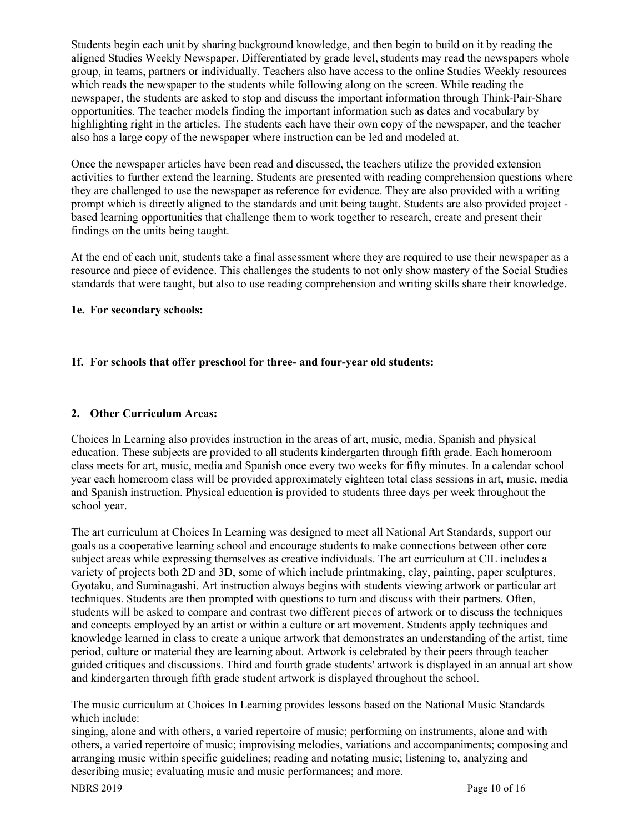Students begin each unit by sharing background knowledge, and then begin to build on it by reading the aligned Studies Weekly Newspaper. Differentiated by grade level, students may read the newspapers whole group, in teams, partners or individually. Teachers also have access to the online Studies Weekly resources which reads the newspaper to the students while following along on the screen. While reading the newspaper, the students are asked to stop and discuss the important information through Think-Pair-Share opportunities. The teacher models finding the important information such as dates and vocabulary by highlighting right in the articles. The students each have their own copy of the newspaper, and the teacher also has a large copy of the newspaper where instruction can be led and modeled at.

Once the newspaper articles have been read and discussed, the teachers utilize the provided extension activities to further extend the learning. Students are presented with reading comprehension questions where they are challenged to use the newspaper as reference for evidence. They are also provided with a writing prompt which is directly aligned to the standards and unit being taught. Students are also provided project based learning opportunities that challenge them to work together to research, create and present their findings on the units being taught.

At the end of each unit, students take a final assessment where they are required to use their newspaper as a resource and piece of evidence. This challenges the students to not only show mastery of the Social Studies standards that were taught, but also to use reading comprehension and writing skills share their knowledge.

## **1e. For secondary schools:**

# **1f. For schools that offer preschool for three- and four-year old students:**

#### **2. Other Curriculum Areas:**

Choices In Learning also provides instruction in the areas of art, music, media, Spanish and physical education. These subjects are provided to all students kindergarten through fifth grade. Each homeroom class meets for art, music, media and Spanish once every two weeks for fifty minutes. In a calendar school year each homeroom class will be provided approximately eighteen total class sessions in art, music, media and Spanish instruction. Physical education is provided to students three days per week throughout the school year.

The art curriculum at Choices In Learning was designed to meet all National Art Standards, support our goals as a cooperative learning school and encourage students to make connections between other core subject areas while expressing themselves as creative individuals. The art curriculum at CIL includes a variety of projects both 2D and 3D, some of which include printmaking, clay, painting, paper sculptures, Gyotaku, and Suminagashi. Art instruction always begins with students viewing artwork or particular art techniques. Students are then prompted with questions to turn and discuss with their partners. Often, students will be asked to compare and contrast two different pieces of artwork or to discuss the techniques and concepts employed by an artist or within a culture or art movement. Students apply techniques and knowledge learned in class to create a unique artwork that demonstrates an understanding of the artist, time period, culture or material they are learning about. Artwork is celebrated by their peers through teacher guided critiques and discussions. Third and fourth grade students' artwork is displayed in an annual art show and kindergarten through fifth grade student artwork is displayed throughout the school.

The music curriculum at Choices In Learning provides lessons based on the National Music Standards which include:

singing, alone and with others, a varied repertoire of music; performing on instruments, alone and with others, a varied repertoire of music; improvising melodies, variations and accompaniments; composing and arranging music within specific guidelines; reading and notating music; listening to, analyzing and describing music; evaluating music and music performances; and more.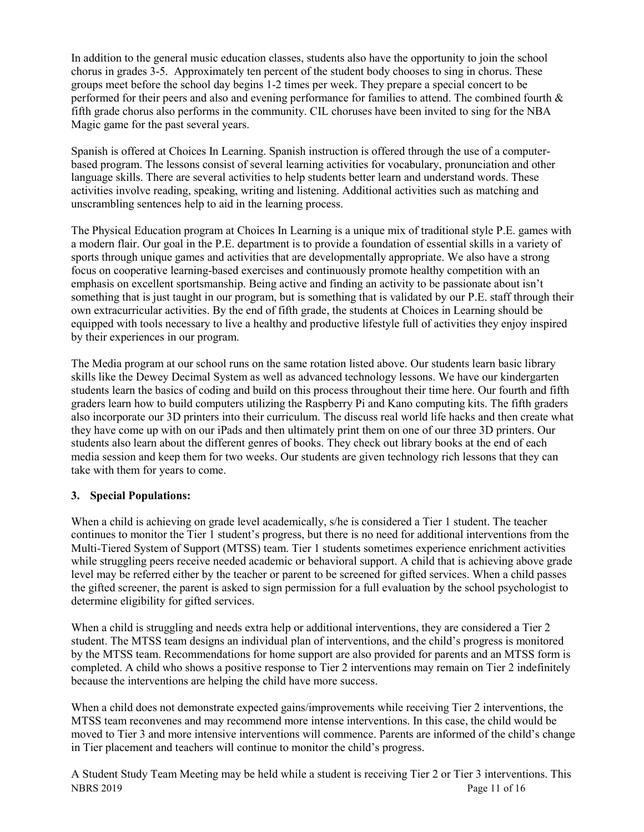In addition to the general music education classes, students also have the opportunity to join the school chorus in grades 3-5. Approximately ten percent of the student body chooses to sing in chorus. These groups meet before the school day begins 1-2 times per week. They prepare a special concert to be performed for their peers and also and evening performance for families to attend. The combined fourth & fifth grade chorus also performs in the community. CIL choruses have been invited to sing for the NBA Magic game for the past several years.

Spanish is offered at Choices In Learning. Spanish instruction is offered through the use of a computerbased program. The lessons consist of several learning activities for vocabulary, pronunciation and other language skills. There are several activities to help students better learn and understand words. These activities involve reading, speaking, writing and listening. Additional activities such as matching and unscrambling sentences help to aid in the learning process.

The Physical Education program at Choices In Learning is a unique mix of traditional style P.E. games with a modern flair. Our goal in the P.E. department is to provide a foundation of essential skills in a variety of sports through unique games and activities that are developmentally appropriate. We also have a strong focus on cooperative learning-based exercises and continuously promote healthy competition with an emphasis on excellent sportsmanship. Being active and finding an activity to be passionate about isn't something that is just taught in our program, but is something that is validated by our P.E. staff through their own extracurricular activities. By the end of fifth grade, the students at Choices in Learning should be equipped with tools necessary to live a healthy and productive lifestyle full of activities they enjoy inspired by their experiences in our program.

The Media program at our school runs on the same rotation listed above. Our students learn basic library skills like the Dewey Decimal System as well as advanced technology lessons. We have our kindergarten students learn the basics of coding and build on this process throughout their time here. Our fourth and fifth graders learn how to build computers utilizing the Raspberry Pi and Kano computing kits. The fifth graders also incorporate our 3D printers into their curriculum. The discuss real world life hacks and then create what they have come up with on our iPads and then ultimately print them on one of our three 3D printers. Our students also learn about the different genres of books. They check out library books at the end of each media session and keep them for two weeks. Our students are given technology rich lessons that they can take with them for years to come.

# **3. Special Populations:**

When a child is achieving on grade level academically, s/he is considered a Tier 1 student. The teacher continues to monitor the Tier 1 student's progress, but there is no need for additional interventions from the Multi-Tiered System of Support (MTSS) team. Tier 1 students sometimes experience enrichment activities while struggling peers receive needed academic or behavioral support. A child that is achieving above grade level may be referred either by the teacher or parent to be screened for gifted services. When a child passes the gifted screener, the parent is asked to sign permission for a full evaluation by the school psychologist to determine eligibility for gifted services.

When a child is struggling and needs extra help or additional interventions, they are considered a Tier 2 student. The MTSS team designs an individual plan of interventions, and the child's progress is monitored by the MTSS team. Recommendations for home support are also provided for parents and an MTSS form is completed. A child who shows a positive response to Tier 2 interventions may remain on Tier 2 indefinitely because the interventions are helping the child have more success.

When a child does not demonstrate expected gains/improvements while receiving Tier 2 interventions, the MTSS team reconvenes and may recommend more intense interventions. In this case, the child would be moved to Tier 3 and more intensive interventions will commence. Parents are informed of the child's change in Tier placement and teachers will continue to monitor the child's progress.

NBRS 2019 Page 11 of 16 A Student Study Team Meeting may be held while a student is receiving Tier 2 or Tier 3 interventions. This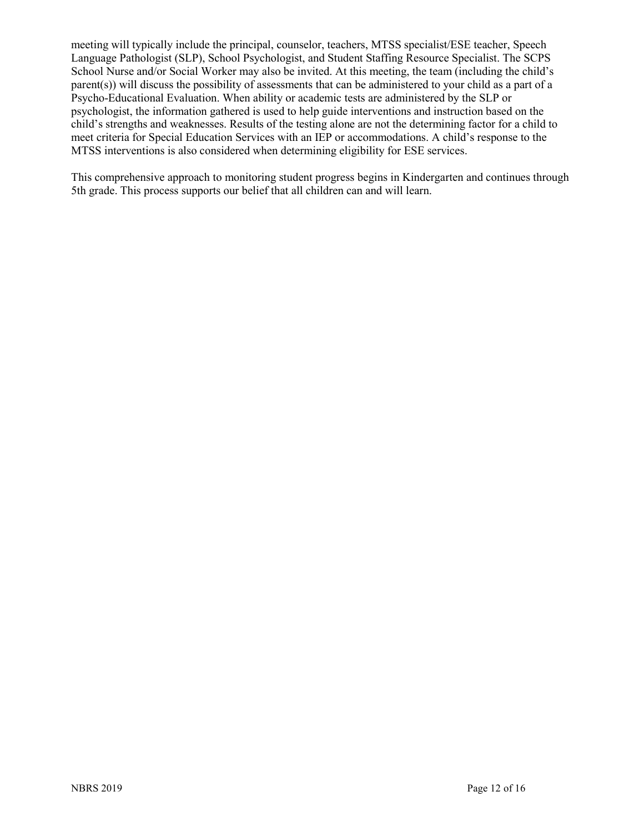meeting will typically include the principal, counselor, teachers, MTSS specialist/ESE teacher, Speech Language Pathologist (SLP), School Psychologist, and Student Staffing Resource Specialist. The SCPS School Nurse and/or Social Worker may also be invited. At this meeting, the team (including the child's parent(s)) will discuss the possibility of assessments that can be administered to your child as a part of a Psycho-Educational Evaluation. When ability or academic tests are administered by the SLP or psychologist, the information gathered is used to help guide interventions and instruction based on the child's strengths and weaknesses. Results of the testing alone are not the determining factor for a child to meet criteria for Special Education Services with an IEP or accommodations. A child's response to the MTSS interventions is also considered when determining eligibility for ESE services.

This comprehensive approach to monitoring student progress begins in Kindergarten and continues through 5th grade. This process supports our belief that all children can and will learn.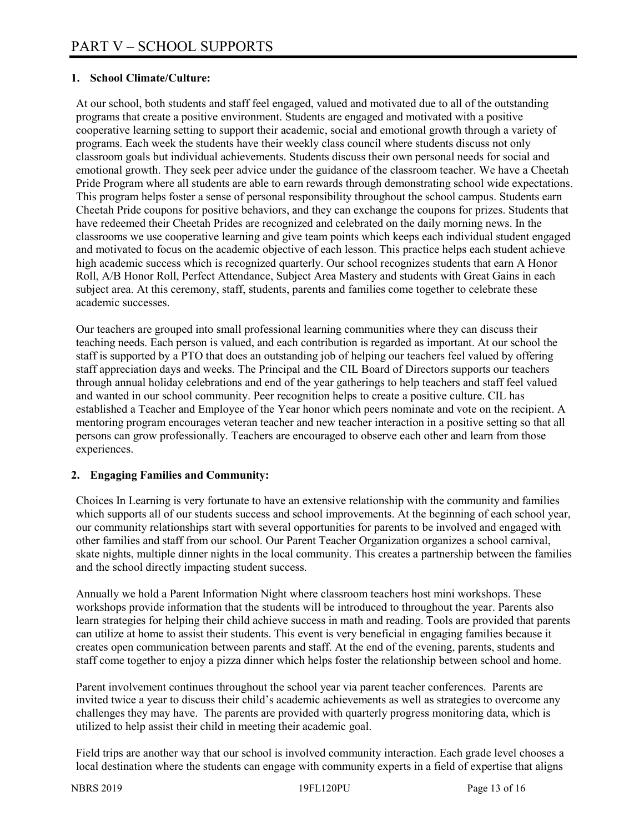## **1. School Climate/Culture:**

At our school, both students and staff feel engaged, valued and motivated due to all of the outstanding programs that create a positive environment. Students are engaged and motivated with a positive cooperative learning setting to support their academic, social and emotional growth through a variety of programs. Each week the students have their weekly class council where students discuss not only classroom goals but individual achievements. Students discuss their own personal needs for social and emotional growth. They seek peer advice under the guidance of the classroom teacher. We have a Cheetah Pride Program where all students are able to earn rewards through demonstrating school wide expectations. This program helps foster a sense of personal responsibility throughout the school campus. Students earn Cheetah Pride coupons for positive behaviors, and they can exchange the coupons for prizes. Students that have redeemed their Cheetah Prides are recognized and celebrated on the daily morning news. In the classrooms we use cooperative learning and give team points which keeps each individual student engaged and motivated to focus on the academic objective of each lesson. This practice helps each student achieve high academic success which is recognized quarterly. Our school recognizes students that earn A Honor Roll, A/B Honor Roll, Perfect Attendance, Subject Area Mastery and students with Great Gains in each subject area. At this ceremony, staff, students, parents and families come together to celebrate these academic successes.

Our teachers are grouped into small professional learning communities where they can discuss their teaching needs. Each person is valued, and each contribution is regarded as important. At our school the staff is supported by a PTO that does an outstanding job of helping our teachers feel valued by offering staff appreciation days and weeks. The Principal and the CIL Board of Directors supports our teachers through annual holiday celebrations and end of the year gatherings to help teachers and staff feel valued and wanted in our school community. Peer recognition helps to create a positive culture. CIL has established a Teacher and Employee of the Year honor which peers nominate and vote on the recipient. A mentoring program encourages veteran teacher and new teacher interaction in a positive setting so that all persons can grow professionally. Teachers are encouraged to observe each other and learn from those experiences.

#### **2. Engaging Families and Community:**

Choices In Learning is very fortunate to have an extensive relationship with the community and families which supports all of our students success and school improvements. At the beginning of each school year, our community relationships start with several opportunities for parents to be involved and engaged with other families and staff from our school. Our Parent Teacher Organization organizes a school carnival, skate nights, multiple dinner nights in the local community. This creates a partnership between the families and the school directly impacting student success.

Annually we hold a Parent Information Night where classroom teachers host mini workshops. These workshops provide information that the students will be introduced to throughout the year. Parents also learn strategies for helping their child achieve success in math and reading. Tools are provided that parents can utilize at home to assist their students. This event is very beneficial in engaging families because it creates open communication between parents and staff. At the end of the evening, parents, students and staff come together to enjoy a pizza dinner which helps foster the relationship between school and home.

Parent involvement continues throughout the school year via parent teacher conferences. Parents are invited twice a year to discuss their child's academic achievements as well as strategies to overcome any challenges they may have. The parents are provided with quarterly progress monitoring data, which is utilized to help assist their child in meeting their academic goal.

Field trips are another way that our school is involved community interaction. Each grade level chooses a local destination where the students can engage with community experts in a field of expertise that aligns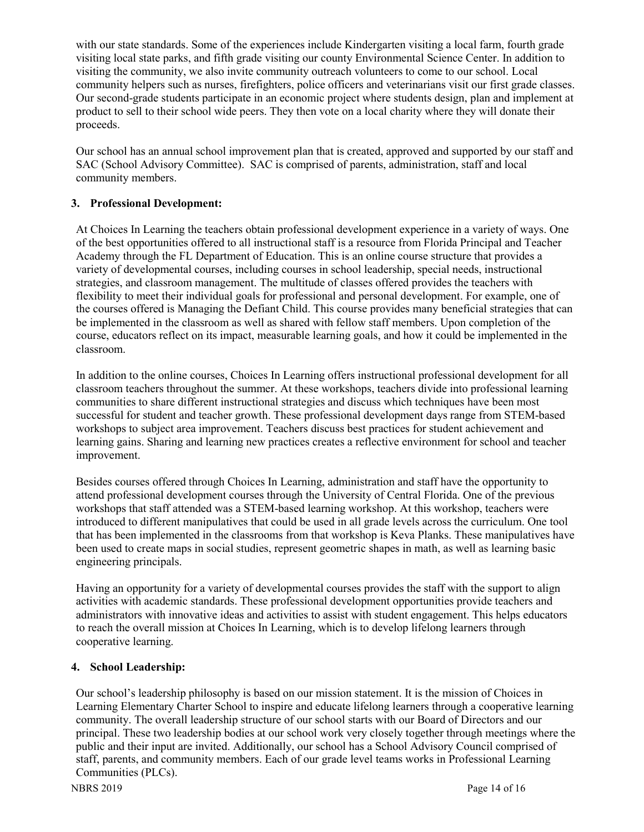with our state standards. Some of the experiences include Kindergarten visiting a local farm, fourth grade visiting local state parks, and fifth grade visiting our county Environmental Science Center. In addition to visiting the community, we also invite community outreach volunteers to come to our school. Local community helpers such as nurses, firefighters, police officers and veterinarians visit our first grade classes. Our second-grade students participate in an economic project where students design, plan and implement at product to sell to their school wide peers. They then vote on a local charity where they will donate their proceeds.

Our school has an annual school improvement plan that is created, approved and supported by our staff and SAC (School Advisory Committee). SAC is comprised of parents, administration, staff and local community members.

## **3. Professional Development:**

At Choices In Learning the teachers obtain professional development experience in a variety of ways. One of the best opportunities offered to all instructional staff is a resource from Florida Principal and Teacher Academy through the FL Department of Education. This is an online course structure that provides a variety of developmental courses, including courses in school leadership, special needs, instructional strategies, and classroom management. The multitude of classes offered provides the teachers with flexibility to meet their individual goals for professional and personal development. For example, one of the courses offered is Managing the Defiant Child. This course provides many beneficial strategies that can be implemented in the classroom as well as shared with fellow staff members. Upon completion of the course, educators reflect on its impact, measurable learning goals, and how it could be implemented in the classroom.

In addition to the online courses, Choices In Learning offers instructional professional development for all classroom teachers throughout the summer. At these workshops, teachers divide into professional learning communities to share different instructional strategies and discuss which techniques have been most successful for student and teacher growth. These professional development days range from STEM-based workshops to subject area improvement. Teachers discuss best practices for student achievement and learning gains. Sharing and learning new practices creates a reflective environment for school and teacher improvement.

Besides courses offered through Choices In Learning, administration and staff have the opportunity to attend professional development courses through the University of Central Florida. One of the previous workshops that staff attended was a STEM-based learning workshop. At this workshop, teachers were introduced to different manipulatives that could be used in all grade levels across the curriculum. One tool that has been implemented in the classrooms from that workshop is Keva Planks. These manipulatives have been used to create maps in social studies, represent geometric shapes in math, as well as learning basic engineering principals.

Having an opportunity for a variety of developmental courses provides the staff with the support to align activities with academic standards. These professional development opportunities provide teachers and administrators with innovative ideas and activities to assist with student engagement. This helps educators to reach the overall mission at Choices In Learning, which is to develop lifelong learners through cooperative learning.

#### **4. School Leadership:**

Our school's leadership philosophy is based on our mission statement. It is the mission of Choices in Learning Elementary Charter School to inspire and educate lifelong learners through a cooperative learning community. The overall leadership structure of our school starts with our Board of Directors and our principal. These two leadership bodies at our school work very closely together through meetings where the public and their input are invited. Additionally, our school has a School Advisory Council comprised of staff, parents, and community members. Each of our grade level teams works in Professional Learning Communities (PLCs).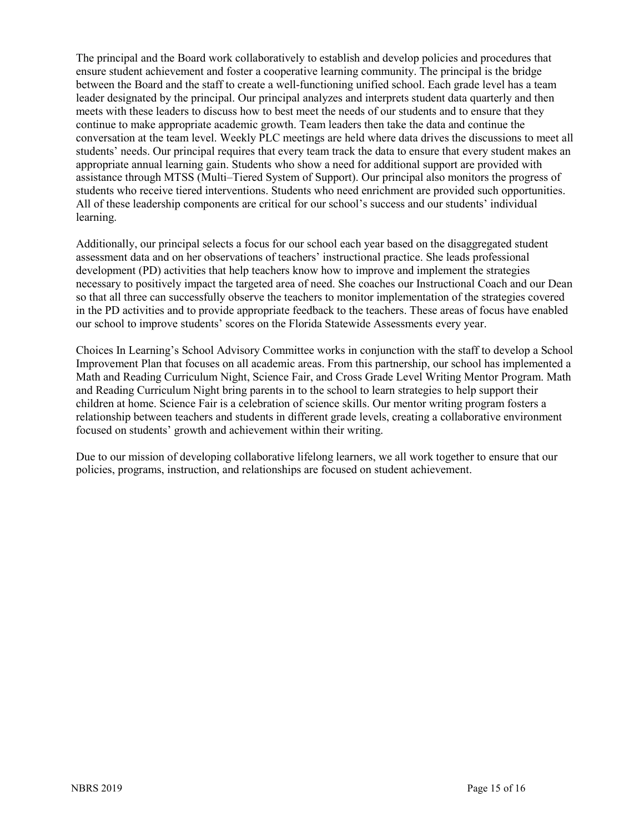The principal and the Board work collaboratively to establish and develop policies and procedures that ensure student achievement and foster a cooperative learning community. The principal is the bridge between the Board and the staff to create a well-functioning unified school. Each grade level has a team leader designated by the principal. Our principal analyzes and interprets student data quarterly and then meets with these leaders to discuss how to best meet the needs of our students and to ensure that they continue to make appropriate academic growth. Team leaders then take the data and continue the conversation at the team level. Weekly PLC meetings are held where data drives the discussions to meet all students' needs. Our principal requires that every team track the data to ensure that every student makes an appropriate annual learning gain. Students who show a need for additional support are provided with assistance through MTSS (Multi–Tiered System of Support). Our principal also monitors the progress of students who receive tiered interventions. Students who need enrichment are provided such opportunities. All of these leadership components are critical for our school's success and our students' individual learning.

Additionally, our principal selects a focus for our school each year based on the disaggregated student assessment data and on her observations of teachers' instructional practice. She leads professional development (PD) activities that help teachers know how to improve and implement the strategies necessary to positively impact the targeted area of need. She coaches our Instructional Coach and our Dean so that all three can successfully observe the teachers to monitor implementation of the strategies covered in the PD activities and to provide appropriate feedback to the teachers. These areas of focus have enabled our school to improve students' scores on the Florida Statewide Assessments every year.

Choices In Learning's School Advisory Committee works in conjunction with the staff to develop a School Improvement Plan that focuses on all academic areas. From this partnership, our school has implemented a Math and Reading Curriculum Night, Science Fair, and Cross Grade Level Writing Mentor Program. Math and Reading Curriculum Night bring parents in to the school to learn strategies to help support their children at home. Science Fair is a celebration of science skills. Our mentor writing program fosters a relationship between teachers and students in different grade levels, creating a collaborative environment focused on students' growth and achievement within their writing.

Due to our mission of developing collaborative lifelong learners, we all work together to ensure that our policies, programs, instruction, and relationships are focused on student achievement.